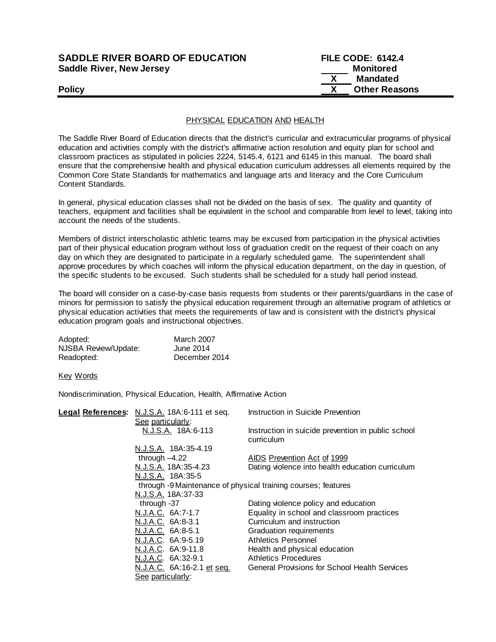| <b>SADDLE RIVER BOARD OF EDUCATION</b> | <b>FILE CODE: 6142.4</b> |  |
|----------------------------------------|--------------------------|--|
| <b>Saddle River, New Jersey</b>        | Monitored                |  |
|                                        | Mandated                 |  |
| <b>Policy</b>                          | <b>Other Reasons</b>     |  |

## PHYSICAL EDUCATION AND HEALTH

The Saddle River Board of Education directs that the district's curricular and extracurricular programs of physical education and activities comply with the district's affirmative action resolution and equity plan for school and classroom practices as stipulated in policies 2224, 5145.4, 6121 and 6145 in this manual. The board shall ensure that the comprehensive health and physical education curriculum addresses all elements required by the Common Core State Standards for mathematics and language arts and literacy and the Core Curriculum Content Standards.

In general, physical education classes shall not be divided on the basis of sex. The quality and quantity of teachers, equipment and facilities shall be equivalent in the school and comparable from level to level, taking into account the needs of the students.

Members of district interscholastic athletic teams may be excused from participation in the physical activities part of their physical education program without loss of graduation credit on the request of their coach on any day on which they are designated to participate in a regularly scheduled game. The superintendent shall approve procedures by which coaches will inform the physical education department, on the day in question, of the specific students to be excused. Such students shall be scheduled for a study hall period instead.

The board will consider on a case-by-case basis requests from students or their parents/guardians in the case of minors for permission to satisfy the physical education requirement through an alternative program of athletics or physical education activities that meets the requirements of law and is consistent with the district's physical education program goals and instructional objectives.

| Adopted:             | <b>March 2007</b> |
|----------------------|-------------------|
| NJSBA Review/Update: | June 2014         |
| Readopted:           | December 2014     |

Key Words

Nondiscrimination, Physical Education, Health, Affirmative Action

| Legal References: N.J.S.A. 18A:6-111 et seq.                  | Instruction in Suicide Prevention                  |
|---------------------------------------------------------------|----------------------------------------------------|
| See particularly:                                             |                                                    |
| N.J.S.A. 18A:6-113                                            | Instruction in suicide prevention in public school |
|                                                               | curriculum                                         |
| N.J.S.A. 18A:35-4.19                                          |                                                    |
| through $-4.22$                                               | AIDS Prevention Act of 1999                        |
| N.J.S.A. 18A:35-4.23                                          | Dating violence into health education curriculum   |
| N.J.S.A. 18A:35-5                                             |                                                    |
| through -9 Maintenance of physical training courses; features |                                                    |
| N.J.S.A. 18A:37-33                                            |                                                    |
| through -37                                                   | Dating violence policy and education               |
| N.J.A.C. 6A:7-1.7                                             | Equality in school and classroom practices         |
| N.J.A.C. 6A:8-3.1                                             | Curriculum and instruction                         |
| N.J.A.C. 6A:8-5.1                                             | Graduation requirements                            |
| N.J.A.C. 6A:9-5.19                                            | Athletics Personnel                                |
| N.J.A.C. 6A:9-11.8                                            | Health and physical education                      |
| N.J.A.C. 6A:32-9.1                                            | <b>Athletics Procedures</b>                        |
| N.J.A.C. 6A:16-2.1 et seq.                                    | General Provisions for School Health Services      |
| See particularly:                                             |                                                    |